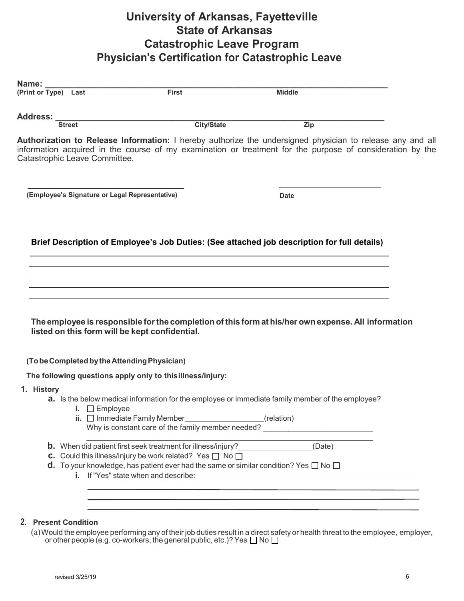## **University of Arkansas, Fayetteville State of Arkansas Catastrophic Leave Program Physician's Certification for Catastrophic Leave**

| (Print or Type) Last                                      | <b>First</b>                                                              | <b>Middle</b>                                                                                                                                                                                                          |
|-----------------------------------------------------------|---------------------------------------------------------------------------|------------------------------------------------------------------------------------------------------------------------------------------------------------------------------------------------------------------------|
| <b>Address:</b>                                           |                                                                           |                                                                                                                                                                                                                        |
| <b>Street</b>                                             | <b>City/State</b>                                                         | Zip                                                                                                                                                                                                                    |
| Catastrophic Leave Committee.                             |                                                                           | Authorization to Release Information: I hereby authorize the undersigned physician to release any and all<br>information acquired in the course of my examination or treatment for the purpose of consideration by the |
| (Employee's Signature or Legal Representative)            |                                                                           | Date                                                                                                                                                                                                                   |
|                                                           |                                                                           |                                                                                                                                                                                                                        |
|                                                           |                                                                           | Brief Description of Employee's Job Duties: (See attached job description for full details)                                                                                                                            |
|                                                           |                                                                           |                                                                                                                                                                                                                        |
|                                                           |                                                                           |                                                                                                                                                                                                                        |
|                                                           |                                                                           |                                                                                                                                                                                                                        |
|                                                           |                                                                           |                                                                                                                                                                                                                        |
| listed on this form will be kept confidential.            |                                                                           | The employee is responsible for the completion of this form at his/her own expense. All information                                                                                                                    |
| (To be Completed by the Attending Physician)              |                                                                           |                                                                                                                                                                                                                        |
| The following questions apply only to thisillness/injury: |                                                                           |                                                                                                                                                                                                                        |
| 1. History                                                |                                                                           |                                                                                                                                                                                                                        |
| i. $\Box$ Employee                                        |                                                                           | <b>a.</b> Is the below medical information for the employee or immediate family member of the employee?                                                                                                                |
|                                                           | ii. $\Box$ Immediate Family Member                                        | (relation)<br>Why is constant care of the family member needed?                                                                                                                                                        |
|                                                           | <b>b.</b> When did patient first seek treatment for illness/injury?       | (Date)                                                                                                                                                                                                                 |
|                                                           | <b>C.</b> Could this illness/injury be work related? Yes $\Box$ No $\Box$ |                                                                                                                                                                                                                        |
|                                                           |                                                                           | <b>d.</b> To your knowledge, has patient ever had the same or similar condition? Yes $\Box$ No $\Box$                                                                                                                  |
|                                                           |                                                                           |                                                                                                                                                                                                                        |

## **2. Present Condition**

 ${\rm (a)}$ Would the employee performing any of their job duties result in a direct safety or health threat to the employee, employer, or other people (e.g. co-workers, the general public, etc.)? Yes  $\Box$  No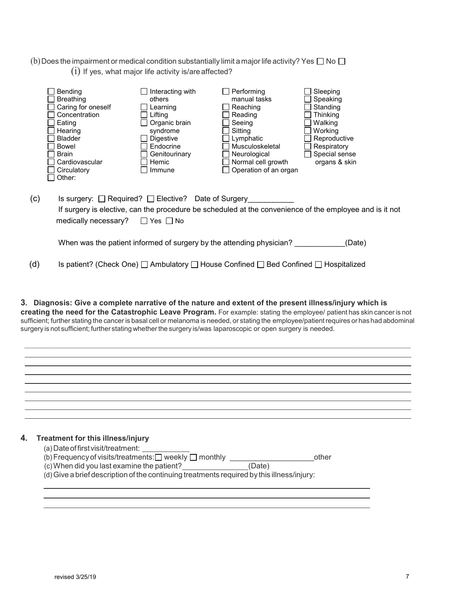(b) Does the impairment or medical condition substantially limit a major life activity? Yes  $\Box$  No  $\Box$  $(i)$  If yes, what major life activity is/are affected?

|     | <b>Bending</b><br><b>Breathing</b><br>Caring for oneself<br>Concentration<br>Eating<br>Hearing<br><b>Bladder</b><br>Bowel<br><b>Brain</b><br>Cardiovascular<br>Circulatory<br>Other: | Interacting with<br>others<br>Learning<br>Lifting<br>Organic brain<br>syndrome<br><b>Digestive</b><br>Endocrine<br>Genitourinary<br>Hemic<br>Immune | Performing<br>manual tasks<br>Reaching<br>Reading<br>Seeing<br>Sitting<br>Lymphatic<br>Musculoskeletal<br>Neurological<br>Normal cell growth<br>Operation of an organ | Sleeping<br>Speaking<br>Standing<br><b>Thinking</b><br>Walking<br>Working<br>Reproductive<br>Respiratory<br>Special sense<br>organs & skin |
|-----|--------------------------------------------------------------------------------------------------------------------------------------------------------------------------------------|-----------------------------------------------------------------------------------------------------------------------------------------------------|-----------------------------------------------------------------------------------------------------------------------------------------------------------------------|--------------------------------------------------------------------------------------------------------------------------------------------|
| (c) | Is surgery: $\Box$ Required? $\Box$ Elective? Date of Surgery<br>medically necessary?                                                                                                | ∣Yes   ∣No                                                                                                                                          |                                                                                                                                                                       | If surgery is elective, can the procedure be scheduled at the convenience of the employee and is it not                                    |
|     |                                                                                                                                                                                      |                                                                                                                                                     | When was the patient informed of surgery by the attending physician?                                                                                                  | (Date)                                                                                                                                     |
| (d) |                                                                                                                                                                                      |                                                                                                                                                     | Is patient? (Check One) □ Ambulatory □ House Confined □ Bed Confined □ Hospitalized                                                                                   |                                                                                                                                            |

**3. Diagnosis: Give a complete narrative of the nature and extent of the present illness/injury which is creating the need for the Catastrophic Leave Program.** For example: stating the employee/ patient has skin cancer is not sufficient; further stating the cancer is basal cell or melanoma is needed, or stating the employee/patientrequires or has had abdominal surgery is not sufficient; further stating whetherthe surgery is/was laparoscopic or open surgery is needed.

\_\_\_\_\_\_\_\_\_\_\_\_\_\_\_\_\_\_\_\_\_\_\_\_\_\_\_\_\_\_\_\_\_\_\_\_\_\_\_\_\_\_\_\_\_\_\_\_\_\_\_\_\_\_\_\_\_\_\_\_\_\_\_\_\_\_\_\_\_\_\_\_\_\_\_\_\_\_\_\_\_\_\_\_\_\_\_\_\_\_\_\_\_\_\_\_\_\_\_\_\_\_

<u> 1989 - Johann Stoff, amerikansk politiker (\* 1908)</u>

<u> 1989 - Johann Stoff, amerikansk politiker (d. 1989)</u>

| (a) Date of first visit/treatment:                                                         |        |  |  |  |  |
|--------------------------------------------------------------------------------------------|--------|--|--|--|--|
| (b) Frequency of visits/treatments: $\Box$ weekly $\Box$ monthly                           | other  |  |  |  |  |
| (c) When did you last examine the patient?                                                 | (Date) |  |  |  |  |
| (d) Give a brief description of the continuing treatments required by this illness/injury: |        |  |  |  |  |